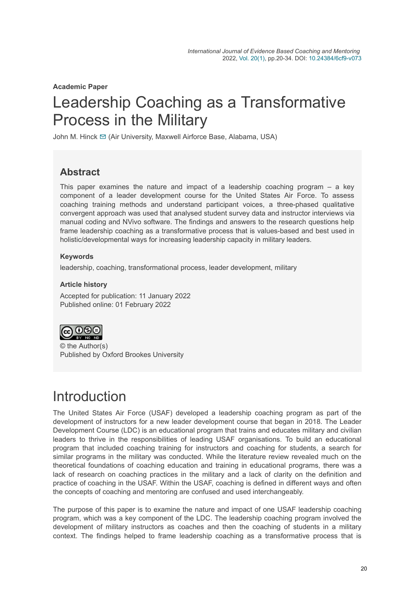**Academic Paper**

# Leadership Coaching as a Transformative Process in the Military

John M. Hinck [✉](mailto:johnmhinck@gmail.com) (Air University, Maxwell Airforce Base, Alabama, USA)

### **Abstract**

This paper examines the nature and impact of a leadership coaching program – a key component of a leader development course for the United States Air Force. To assess coaching training methods and understand participant voices, a three-phased qualitative convergent approach was used that analysed student survey data and instructor interviews via manual coding and NVivo software. The findings and answers to the research questions help frame leadership coaching as a transformative process that is values-based and best used in holistic/developmental ways for increasing leadership capacity in military leaders.

#### **Keywords**

leadership, coaching, transformational process, leader development, military

#### **Article history**

Accepted for publication: 11 January 2022 Published online: 01 February 2022



© the Author(s) Published by Oxford Brookes University

### **Introduction**

The United States Air Force (USAF) developed a leadership coaching program as part of the development of instructors for a new leader development course that began in 2018. The Leader Development Course (LDC) is an educational program that trains and educates military and civilian leaders to thrive in the responsibilities of leading USAF organisations. To build an educational program that included coaching training for instructors and coaching for students, a search for similar programs in the military was conducted. While the literature review revealed much on the theoretical foundations of coaching education and training in educational programs, there was a lack of research on coaching practices in the military and a lack of clarity on the definition and practice of coaching in the USAF. Within the USAF, coaching is defined in different ways and often the concepts of coaching and mentoring are confused and used interchangeably.

The purpose of this paper is to examine the nature and impact of one USAF leadership coaching program, which was a key component of the LDC. The leadership coaching program involved the development of military instructors as coaches and then the coaching of students in a military context. The findings helped to frame leadership coaching as a transformative process that is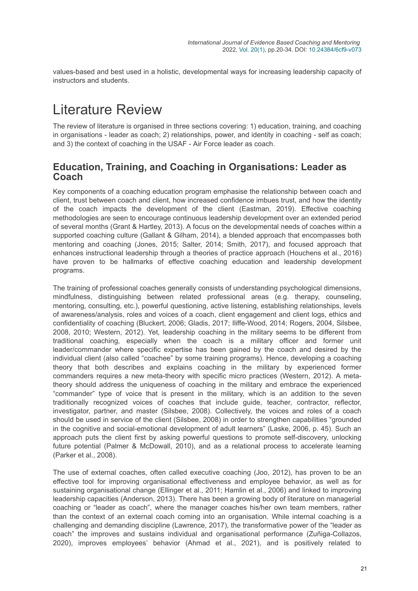values-based and best used in a holistic, developmental ways for increasing leadership capacity of instructors and students.

# Literature Review

The review of literature is organised in three sections covering: 1) education, training, and coaching in organisations - leader as coach; 2) relationships, power, and identity in coaching - self as coach; and 3) the context of coaching in the USAF - Air Force leader as coach.

#### **Education, Training, and Coaching in Organisations: Leader as Coach**

Key components of a coaching education program emphasise the relationship between coach and client, trust between coach and client, how increased confidence imbues trust, and how the identity of the coach impacts the development of the client (Eastman, 2019). Effective coaching methodologies are seen to encourage continuous leadership development over an extended period of several months (Grant & Hartley, 2013). A focus on the developmental needs of coaches within a supported coaching culture (Gallant & Gilham, 2014), a blended approach that encompasses both mentoring and coaching (Jones, 2015; Salter, 2014; Smith, 2017), and focused approach that enhances instructional leadership through a theories of practice approach (Houchens et al., 2016) have proven to be hallmarks of effective coaching education and leadership development programs.

The training of professional coaches generally consists of understanding psychological dimensions, mindfulness, distinguishing between related professional areas (e.g. therapy, counseling, mentoring, consulting, etc.), powerful questioning, active listening, establishing relationships, levels of awareness/analysis, roles and voices of a coach, client engagement and client logs, ethics and confidentiality of coaching (Bluckert, 2006; Gladis, 2017; Iliffe-Wood, 2014; Rogers, 2004, Silsbee, 2008, 2010; Western, 2012). Yet, leadership coaching in the military seems to be different from traditional coaching, especially when the coach is a military officer and former unit leader/commander where specific expertise has been gained by the coach and desired by the individual client (also called "coachee" by some training programs). Hence, developing a coaching theory that both describes and explains coaching in the military by experienced former commanders requires a new meta-theory with specific micro practices (Western, 2012). A metatheory should address the uniqueness of coaching in the military and embrace the experienced "commander" type of voice that is present in the military, which is an addition to the seven traditionally recognized voices of coaches that include guide, teacher, contractor, reflector, investigator, partner, and master (Silsbee, 2008). Collectively, the voices and roles of a coach should be used in service of the client (Silsbee, 2008) in order to strengthen capabilities "grounded in the cognitive and social-emotional development of adult learners" (Laske, 2006, p. 45). Such an approach puts the client first by asking powerful questions to promote self-discovery, unlocking future potential (Palmer & McDowall, 2010), and as a relational process to accelerate learning (Parker et al., 2008).

The use of external coaches, often called executive coaching (Joo, 2012), has proven to be an effective tool for improving organisational effectiveness and employee behavior, as well as for sustaining organisational change (Ellinger et al., 2011; Hamlin et al., 2006) and linked to improving leadership capacities (Anderson, 2013). There has been a growing body of literature on managerial coaching or "leader as coach", where the manager coaches his/her own team members, rather than the context of an external coach coming into an organisation. While internal coaching is a challenging and demanding discipline (Lawrence, 2017), the transformative power of the "leader as coach" the improves and sustains individual and organisational performance (Zuñiga-Collazos, 2020), improves employees' behavior (Ahmad et al., 2021), and is positively related to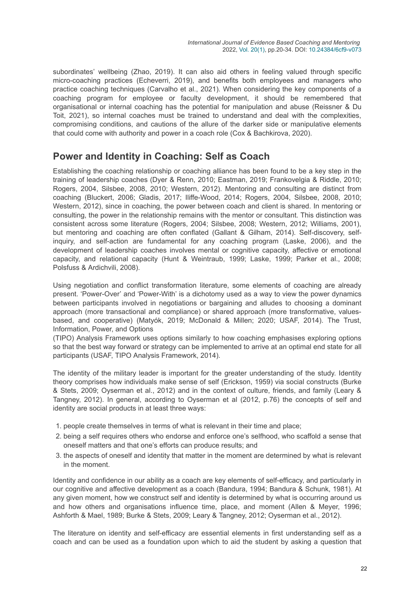subordinates' wellbeing (Zhao, 2019). It can also aid others in feeling valued through specific micro-coaching practices (Echeverri, 2019), and benefits both employees and managers who practice coaching techniques (Carvalho et al., 2021). When considering the key components of a coaching program for employee or faculty development, it should be remembered that organisational or internal coaching has the potential for manipulation and abuse (Reissner & Du Toit, 2021), so internal coaches must be trained to understand and deal with the complexities, compromising conditions, and cautions of the allure of the darker side or manipulative elements that could come with authority and power in a coach role (Cox & Bachkirova, 2020).

#### **Power and Identity in Coaching: Self as Coach**

Establishing the coaching relationship or coaching alliance has been found to be a key step in the training of leadership coaches (Dyer & Renn, 2010; Eastman, 2019; Frankovelgia & Riddle, 2010; Rogers, 2004, Silsbee, 2008, 2010; Western, 2012). Mentoring and consulting are distinct from coaching (Bluckert, 2006; Gladis, 2017; Iliffe-Wood, 2014; Rogers, 2004, Silsbee, 2008, 2010; Western, 2012), since in coaching, the power between coach and client is shared. In mentoring or consulting, the power in the relationship remains with the mentor or consultant. This distinction was consistent across some literature (Rogers, 2004; Silsbee, 2008; Western, 2012; Williams, 2001), but mentoring and coaching are often conflated (Gallant & Gilham, 2014). Self-discovery, selfinquiry, and self-action are fundamental for any coaching program (Laske, 2006), and the development of leadership coaches involves mental or cognitive capacity, affective or emotional capacity, and relational capacity (Hunt & Weintraub, 1999; Laske, 1999; Parker et al., 2008; Polsfuss & Ardichvili, 2008).

Using negotiation and conflict transformation literature, some elements of coaching are already present. 'Power-Over' and 'Power-With' is a dichotomy used as a way to view the power dynamics between participants involved in negotiations or bargaining and alludes to choosing a dominant approach (more transactional and compliance) or shared approach (more transformative, valuesbased, and cooperative) (Matyók, 2019; McDonald & Millen; 2020; USAF, 2014). The Trust, Information, Power, and Options

(TIPO) Analysis Framework uses options similarly to how coaching emphasises exploring options so that the best way forward or strategy can be implemented to arrive at an optimal end state for all participants (USAF, TIPO Analysis Framework, 2014).

The identity of the military leader is important for the greater understanding of the study. Identity theory comprises how individuals make sense of self (Erickson, 1959) via social constructs (Burke & Stets, 2009; Oyserman et al., 2012) and in the context of culture, friends, and family (Leary & Tangney, 2012). In general, according to Oyserman et al (2012, p.76) the concepts of self and identity are social products in at least three ways:

- 1. people create themselves in terms of what is relevant in their time and place;
- 2. being a self requires others who endorse and enforce one's selfhood, who scaffold a sense that oneself matters and that one's efforts can produce results; and
- 3. the aspects of oneself and identity that matter in the moment are determined by what is relevant in the moment.

Identity and confidence in our ability as a coach are key elements of self-efficacy, and particularly in our cognitive and affective development as a coach (Bandura, 1994; Bandura & Schunk, 1981). At any given moment, how we construct self and identity is determined by what is occurring around us and how others and organisations influence time, place, and moment (Allen & Meyer, 1996; Ashforth & Mael, 1989; Burke & Stets, 2009; Leary & Tangney, 2012; Oyserman et al., 2012).

The literature on identity and self-efficacy are essential elements in first understanding self as a coach and can be used as a foundation upon which to aid the student by asking a question that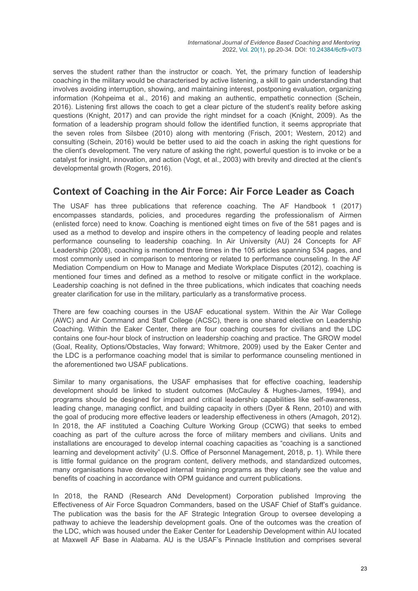serves the student rather than the instructor or coach. Yet, the primary function of leadership coaching in the military would be characterised by active listening, a skill to gain understanding that involves avoiding interruption, showing, and maintaining interest, postponing evaluation, organizing information (Kohpeima et al., 2016) and making an authentic, empathetic connection (Schein, 2016). Listening first allows the coach to get a clear picture of the student's reality before asking questions (Knight, 2017) and can provide the right mindset for a coach (Knight, 2009). As the formation of a leadership program should follow the identified function, it seems appropriate that the seven roles from Silsbee (2010) along with mentoring (Frisch, 2001; Western, 2012) and consulting (Schein, 2016) would be better used to aid the coach in asking the right questions for the client's development. The very nature of asking the right, powerful question is to invoke or be a catalyst for insight, innovation, and action (Vogt, et al., 2003) with brevity and directed at the client's developmental growth (Rogers, 2016).

#### **Context of Coaching in the Air Force: Air Force Leader as Coach**

The USAF has three publications that reference coaching. The AF Handbook 1 (2017) encompasses standards, policies, and procedures regarding the professionalism of Airmen (enlisted force) need to know. Coaching is mentioned eight times on five of the 581 pages and is used as a method to develop and inspire others in the competency of leading people and relates performance counseling to leadership coaching. In Air University (AU) 24 Concepts for AF Leadership (2008), coaching is mentioned three times in the 105 articles spanning 534 pages, and most commonly used in comparison to mentoring or related to performance counseling. In the AF Mediation Compendium on How to Manage and Mediate Workplace Disputes (2012), coaching is mentioned four times and defined as a method to resolve or mitigate conflict in the workplace. Leadership coaching is not defined in the three publications, which indicates that coaching needs greater clarification for use in the military, particularly as a transformative process.

There are few coaching courses in the USAF educational system. Within the Air War College (AWC) and Air Command and Staff College (ACSC), there is one shared elective on Leadership Coaching. Within the Eaker Center, there are four coaching courses for civilians and the LDC contains one four-hour block of instruction on leadership coaching and practice. The GROW model (Goal, Reality, Options/Obstacles, Way forward; Whitmore, 2009) used by the Eaker Center and the LDC is a performance coaching model that is similar to performance counseling mentioned in the aforementioned two USAF publications.

Similar to many organisations, the USAF emphasises that for effective coaching, leadership development should be linked to student outcomes (McCauley & Hughes-James, 1994), and programs should be designed for impact and critical leadership capabilities like self-awareness, leading change, managing conflict, and building capacity in others (Dyer & Renn, 2010) and with the goal of producing more effective leaders or leadership effectiveness in others (Amagoh, 2012). In 2018, the AF instituted a Coaching Culture Working Group (CCWG) that seeks to embed coaching as part of the culture across the force of military members and civilians. Units and installations are encouraged to develop internal coaching capacities as "coaching is a sanctioned learning and development activity" (U.S. Office of Personnel Management, 2018, p. 1). While there is little formal guidance on the program content, delivery methods, and standardized outcomes, many organisations have developed internal training programs as they clearly see the value and benefits of coaching in accordance with OPM guidance and current publications.

In 2018, the RAND (Research ANd Development) Corporation published Improving the Effectiveness of Air Force Squadron Commanders, based on the USAF Chief of Staff's guidance. The publication was the basis for the AF Strategic Integration Group to oversee developing a pathway to achieve the leadership development goals. One of the outcomes was the creation of the LDC, which was housed under the Eaker Center for Leadership Development within AU located at Maxwell AF Base in Alabama. AU is the USAF's Pinnacle Institution and comprises several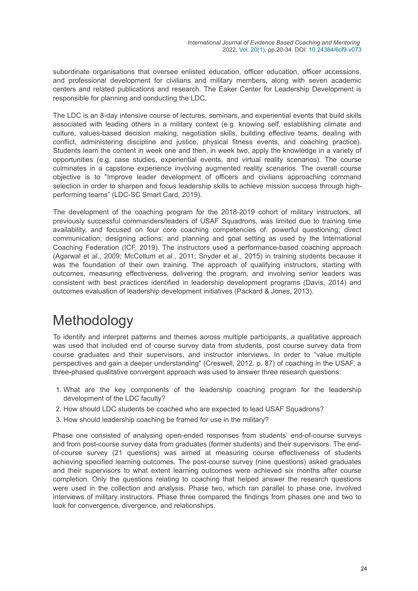subordinate organisations that oversee enlisted education, officer education, officer accessions, and professional development for civilians and military members, along with seven academic centers and related publications and research. The Eaker Center for Leadership Development is responsible for planning and conducting the LDC.

The LDC is an 8-day intensive course of lectures, seminars, and experiential events that build skills associated with leading others in a military context (e.g. knowing self, establishing climate and culture, values-based decision making, negotiation skills, building effective teams, dealing with conflict, administering discipline and justice, physical fitness events, and coaching practice). Students learn the content in week one and then, in week two, apply the knowledge in a variety of opportunities (e.g. case studies, experiential events, and virtual reality scenarios). The course culminates in a capstone experience involving augmented reality scenarios. The overall course objective is to "Improve leader development of officers and civilians approaching command selection in order to sharpen and focus leadership skills to achieve mission success through highperforming teams" (LDC-SC Smart Card, 2019).

The development of the coaching program for the 2018-2019 cohort of military instructors, all previously successful commanders/leaders of USAF Squadrons, was limited due to training time availability, and focused on four core coaching competencies of: powerful questioning; direct communication; designing actions; and planning and goal setting as used by the International Coaching Federation (ICF, 2019). The instructors used a performance-based coaching approach (Agarwal et al., 2009; McCollum et al., 2011; Snyder et al., 2015) in training students because it was the foundation of their own training. The approach of qualifying instructors, starting with outcomes, measuring effectiveness, delivering the program, and involving senior leaders was consistent with best practices identified in leadership development programs (Davis, 2014) and outcomes evaluation of leadership development initiatives (Packard & Jones, 2013).

# Methodology

To identify and interpret patterns and themes across multiple participants, a qualitative approach was used that included end of course survey data from students, post course survey data from course graduates and their supervisors, and instructor interviews. In order to "value multiple perspectives and gain a deeper understanding" (Creswell, 2012, p. 87) of coaching in the USAF, a three-phased qualitative convergent approach was used to answer three research questions:

- 1. What are the key components of the leadership coaching program for the leadership development of the LDC faculty?
- 2. How should LDC students be coached who are expected to lead USAF Squadrons?
- 3. How should leadership coaching be framed for use in the military?

Phase one consisted of analysing open-ended responses from students' end-of-course surveys and from post-course survey data from graduates (former students) and their supervisors. The endof-course survey (21 questions) was aimed at measuring course effectiveness of students achieving specified learning outcomes. The post-course survey (nine questions) asked graduates and their supervisors to what extent learning outcomes were achieved six months after course completion. Only the questions relating to coaching that helped answer the research questions were used in the collection and analysis. Phase two, which ran parallel to phase one, involved interviews of military instructors. Phase three compared the findings from phases one and two to look for convergence, divergence, and relationships.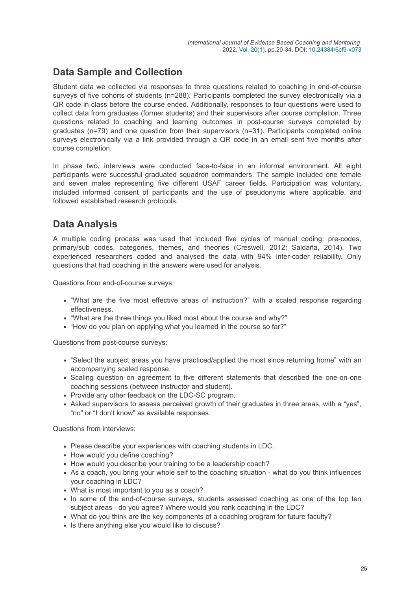### **Data Sample and Collection**

Student data we collected via responses to three questions related to coaching in end-of-course surveys of five cohorts of students (n=288). Participants completed the survey electronically via a QR code in class before the course ended. Additionally, responses to four questions were used to collect data from graduates (former students) and their supervisors after course completion. Three questions related to coaching and learning outcomes in post-course surveys completed by graduates (n=79) and one question from their supervisors (n=31). Participants completed online surveys electronically via a link provided through a QR code in an email sent five months after course completion.

In phase two, interviews were conducted face-to-face in an informal environment. All eight participants were successful graduated squadron commanders. The sample included one female and seven males representing five different USAF career fields. Participation was voluntary, included informed consent of participants and the use of pseudonyms where applicable, and followed established research protocols.

### **Data Analysis**

A multiple coding process was used that included five cycles of manual coding: pre-codes, primary/sub codes, categories, themes, and theories (Creswell, 2012; Saldaña, 2014). Two experienced researchers coded and analysed the data with 94% inter-coder reliability. Only questions that had coaching in the answers were used for analysis.

Questions from end-of-course surveys:

- "What are the five most effective areas of instruction?" with a scaled response regarding effectiveness.
- "What are the three things you liked most about the course and why?"
- "How do you plan on applying what you learned in the course so far?"

Questions from post-course surveys:

- "Select the subject areas you have practiced/applied the most since returning home" with an accompanying scaled response.
- Scaling question on agreement to five different statements that described the one-on-one coaching sessions (between instructor and student).
- Provide any other feedback on the LDC-SC program.
- Asked supervisors to assess perceived growth of their graduates in three areas, with a "yes", "no" or "I don't know" as available responses.

Questions from interviews:

- Please describe your experiences with coaching students in LDC.
- How would you define coaching?
- How would you describe your training to be a leadership coach?
- As a coach, you bring your whole self to the coaching situation what do you think influences your coaching in LDC?
- What is most important to you as a coach?
- In some of the end-of-course surveys, students assessed coaching as one of the top ten subject areas - do you agree? Where would you rank coaching in the LDC?
- What do you think are the key components of a coaching program for future faculty?
- Is there anything else you would like to discuss?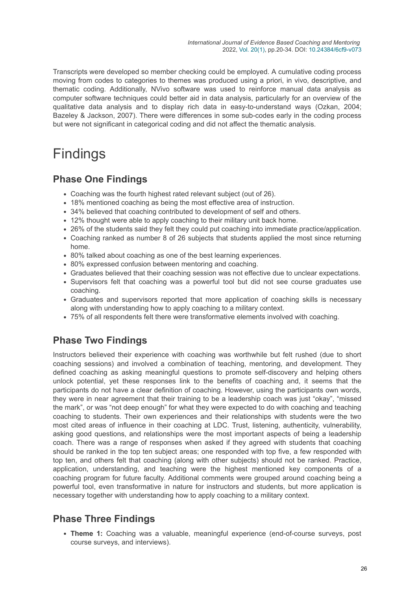Transcripts were developed so member checking could be employed. A cumulative coding process moving from codes to categories to themes was produced using a priori, in vivo, descriptive, and thematic coding. Additionally, NVivo software was used to reinforce manual data analysis as computer software techniques could better aid in data analysis, particularly for an overview of the qualitative data analysis and to display rich data in easy-to-understand ways (Ozkan, 2004; Bazeley & Jackson, 2007). There were differences in some sub-codes early in the coding process but were not significant in categorical coding and did not affect the thematic analysis.

# Findings

#### **Phase One Findings**

- Coaching was the fourth highest rated relevant subject (out of 26).
- 18% mentioned coaching as being the most effective area of instruction.
- 34% believed that coaching contributed to development of self and others.
- 12% thought were able to apply coaching to their military unit back home.
- 26% of the students said they felt they could put coaching into immediate practice/application.
- Coaching ranked as number 8 of 26 subjects that students applied the most since returning home.
- 80% talked about coaching as one of the best learning experiences.
- 80% expressed confusion between mentoring and coaching.
- Graduates believed that their coaching session was not effective due to unclear expectations.
- Supervisors felt that coaching was a powerful tool but did not see course graduates use coaching.
- Graduates and supervisors reported that more application of coaching skills is necessary along with understanding how to apply coaching to a military context.
- 75% of all respondents felt there were transformative elements involved with coaching.

#### **Phase Two Findings**

Instructors believed their experience with coaching was worthwhile but felt rushed (due to short coaching sessions) and involved a combination of teaching, mentoring, and development. They defined coaching as asking meaningful questions to promote self-discovery and helping others unlock potential, yet these responses link to the benefits of coaching and, it seems that the participants do not have a clear definition of coaching. However, using the participants own words, they were in near agreement that their training to be a leadership coach was just "okay", "missed the mark", or was "not deep enough" for what they were expected to do with coaching and teaching coaching to students. Their own experiences and their relationships with students were the two most cited areas of influence in their coaching at LDC. Trust, listening, authenticity, vulnerability, asking good questions, and relationships were the most important aspects of being a leadership coach. There was a range of responses when asked if they agreed with students that coaching should be ranked in the top ten subject areas; one responded with top five, a few responded with top ten, and others felt that coaching (along with other subjects) should not be ranked. Practice, application, understanding, and teaching were the highest mentioned key components of a coaching program for future faculty. Additional comments were grouped around coaching being a powerful tool, even transformative in nature for instructors and students, but more application is necessary together with understanding how to apply coaching to a military context.

#### **Phase Three Findings**

**Theme 1:** Coaching was a valuable, meaningful experience (end-of-course surveys, post course surveys, and interviews).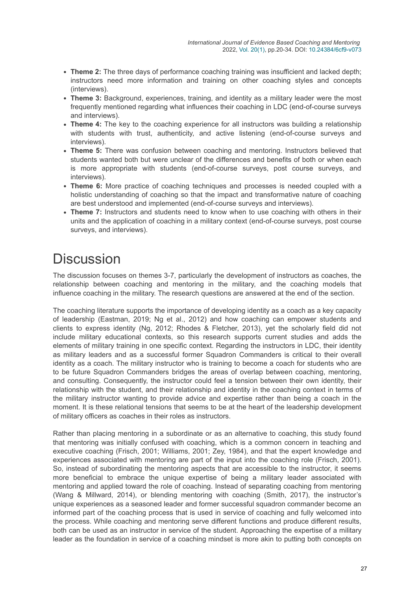- **Theme 2:** The three days of performance coaching training was insufficient and lacked depth; instructors need more information and training on other coaching styles and concepts (interviews).
- **Theme 3:** Background, experiences, training, and identity as a military leader were the most frequently mentioned regarding what influences their coaching in LDC (end-of-course surveys and interviews).
- **Theme 4:** The key to the coaching experience for all instructors was building a relationship with students with trust, authenticity, and active listening (end-of-course surveys and interviews).
- **Theme 5:** There was confusion between coaching and mentoring. Instructors believed that students wanted both but were unclear of the differences and benefits of both or when each is more appropriate with students (end-of-course surveys, post course surveys, and interviews).
- **Theme 6:** More practice of coaching techniques and processes is needed coupled with a holistic understanding of coaching so that the impact and transformative nature of coaching are best understood and implemented (end-of-course surveys and interviews).
- **Theme 7:** Instructors and students need to know when to use coaching with others in their units and the application of coaching in a military context (end-of-course surveys, post course surveys, and interviews).

## **Discussion**

The discussion focuses on themes 3-7, particularly the development of instructors as coaches, the relationship between coaching and mentoring in the military, and the coaching models that influence coaching in the military. The research questions are answered at the end of the section.

The coaching literature supports the importance of developing identity as a coach as a key capacity of leadership (Eastman, 2019; Ng et al., 2012) and how coaching can empower students and clients to express identity (Ng, 2012; Rhodes & Fletcher, 2013), yet the scholarly field did not include military educational contexts, so this research supports current studies and adds the elements of military training in one specific context. Regarding the instructors in LDC, their identity as military leaders and as a successful former Squadron Commanders is critical to their overall identity as a coach. The military instructor who is training to become a coach for students who are to be future Squadron Commanders bridges the areas of overlap between coaching, mentoring, and consulting. Consequently, the instructor could feel a tension between their own identity, their relationship with the student, and their relationship and identity in the coaching context in terms of the military instructor wanting to provide advice and expertise rather than being a coach in the moment. It is these relational tensions that seems to be at the heart of the leadership development of military officers as coaches in their roles as instructors.

Rather than placing mentoring in a subordinate or as an alternative to coaching, this study found that mentoring was initially confused with coaching, which is a common concern in teaching and executive coaching (Frisch, 2001; Williams, 2001; Zey, 1984), and that the expert knowledge and experiences associated with mentoring are part of the input into the coaching role (Frisch, 2001). So, instead of subordinating the mentoring aspects that are accessible to the instructor, it seems more beneficial to embrace the unique expertise of being a military leader associated with mentoring and applied toward the role of coaching. Instead of separating coaching from mentoring (Wang & Millward, 2014), or blending mentoring with coaching (Smith, 2017), the instructor's unique experiences as a seasoned leader and former successful squadron commander become an informed part of the coaching process that is used in service of coaching and fully welcomed into the process. While coaching and mentoring serve different functions and produce different results, both can be used as an instructor in service of the student. Approaching the expertise of a military leader as the foundation in service of a coaching mindset is more akin to putting both concepts on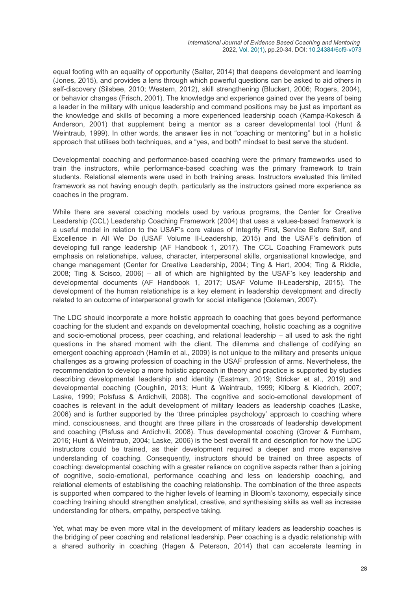equal footing with an equality of opportunity (Salter, 2014) that deepens development and learning (Jones, 2015), and provides a lens through which powerful questions can be asked to aid others in self-discovery (Silsbee, 2010; Western, 2012), skill strengthening (Bluckert, 2006; Rogers, 2004), or behavior changes (Frisch, 2001). The knowledge and experience gained over the years of being a leader in the military with unique leadership and command positions may be just as important as the knowledge and skills of becoming a more experienced leadership coach (Kampa-Kokesch & Anderson, 2001) that supplement being a mentor as a career developmental tool (Hunt & Weintraub, 1999). In other words, the answer lies in not "coaching or mentoring" but in a holistic approach that utilises both techniques, and a "yes, and both" mindset to best serve the student.

Developmental coaching and performance-based coaching were the primary frameworks used to train the instructors, while performance-based coaching was the primary framework to train students. Relational elements were used in both training areas. Instructors evaluated this limited framework as not having enough depth, particularly as the instructors gained more experience as coaches in the program.

While there are several coaching models used by various programs, the Center for Creative Leadership (CCL) Leadership Coaching Framework (2004) that uses a values-based framework is a useful model in relation to the USAF's core values of Integrity First, Service Before Self, and Excellence in All We Do (USAF Volume II-Leadership, 2015) and the USAF's definition of developing full range leadership (AF Handbook 1, 2017). The CCL Coaching Framework puts emphasis on relationships, values, character, interpersonal skills, organisational knowledge, and change management (Center for Creative Leadership, 2004; Ting & Hart, 2004; Ting & Riddle, 2008; Ting & Scisco, 2006) – all of which are highlighted by the USAF's key leadership and developmental documents (AF Handbook 1, 2017; USAF Volume II-Leadership, 2015). The development of the human relationships is a key element in leadership development and directly related to an outcome of interpersonal growth for social intelligence (Goleman, 2007).

The LDC should incorporate a more holistic approach to coaching that goes beyond performance coaching for the student and expands on developmental coaching, holistic coaching as a cognitive and socio-emotional process, peer coaching, and relational leadership – all used to ask the right questions in the shared moment with the client. The dilemma and challenge of codifying an emergent coaching approach (Hamlin et al., 2009) is not unique to the military and presents unique challenges as a growing profession of coaching in the USAF profession of arms. Nevertheless, the recommendation to develop a more holistic approach in theory and practice is supported by studies describing developmental leadership and identity (Eastman, 2019; Stricker et al., 2019) and developmental coaching (Coughlin, 2013; Hunt & Weintraub, 1999; Kilberg & Kiedrich, 2007; Laske, 1999; Polsfuss & Ardichvili, 2008). The cognitive and socio-emotional development of coaches is relevant in the adult development of military leaders as leadership coaches (Laske, 2006) and is further supported by the 'three principles psychology' approach to coaching where mind, consciousness, and thought are three pillars in the crossroads of leadership development and coaching (Plsfuss and Ardichvili, 2008). Thus developmental coaching (Grover & Furnham, 2016; Hunt & Weintraub, 2004; Laske, 2006) is the best overall fit and description for how the LDC instructors could be trained, as their development required a deeper and more expansive understanding of coaching. Consequently, instructors should be trained on three aspects of coaching: developmental coaching with a greater reliance on cognitive aspects rather than a joining of cognitive, socio-emotional, performance coaching and less on leadership coaching, and relational elements of establishing the coaching relationship. The combination of the three aspects is supported when compared to the higher levels of learning in Bloom's taxonomy, especially since coaching training should strengthen analytical, creative, and synthesising skills as well as increase understanding for others, empathy, perspective taking.

Yet, what may be even more vital in the development of military leaders as leadership coaches is the bridging of peer coaching and relational leadership. Peer coaching is a dyadic relationship with a shared authority in coaching (Hagen & Peterson, 2014) that can accelerate learning in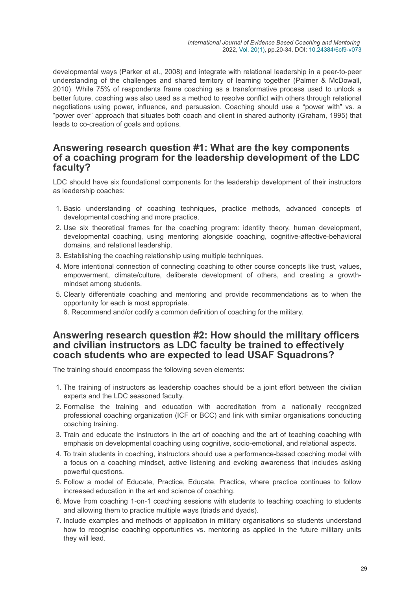developmental ways (Parker et al., 2008) and integrate with relational leadership in a peer-to-peer understanding of the challenges and shared territory of learning together (Palmer & McDowall, 2010). While 75% of respondents frame coaching as a transformative process used to unlock a better future, coaching was also used as a method to resolve conflict with others through relational negotiations using power, influence, and persuasion. Coaching should use a "power with" vs. a "power over" approach that situates both coach and client in shared authority (Graham, 1995) that leads to co-creation of goals and options.

#### **Answering research question #1: What are the key components of a coaching program for the leadership development of the LDC faculty?**

LDC should have six foundational components for the leadership development of their instructors as leadership coaches:

- 1. Basic understanding of coaching techniques, practice methods, advanced concepts of developmental coaching and more practice.
- 2. Use six theoretical frames for the coaching program: identity theory, human development, developmental coaching, using mentoring alongside coaching, cognitive-affective-behavioral domains, and relational leadership.
- 3. Establishing the coaching relationship using multiple techniques.
- 4. More intentional connection of connecting coaching to other course concepts like trust, values, empowerment, climate/culture, deliberate development of others, and creating a growthmindset among students.
- 5. Clearly differentiate coaching and mentoring and provide recommendations as to when the opportunity for each is most appropriate.
	- 6. Recommend and/or codify a common definition of coaching for the military.

#### **Answering research question #2: How should the military officers and civilian instructors as LDC faculty be trained to effectively coach students who are expected to lead USAF Squadrons?**

The training should encompass the following seven elements:

- 1. The training of instructors as leadership coaches should be a joint effort between the civilian experts and the LDC seasoned faculty.
- 2. Formalise the training and education with accreditation from a nationally recognized professional coaching organization (ICF or BCC) and link with similar organisations conducting coaching training.
- 3. Train and educate the instructors in the art of coaching and the art of teaching coaching with emphasis on developmental coaching using cognitive, socio-emotional, and relational aspects.
- 4. To train students in coaching, instructors should use a performance-based coaching model with a focus on a coaching mindset, active listening and evoking awareness that includes asking powerful questions.
- 5. Follow a model of Educate, Practice, Educate, Practice, where practice continues to follow increased education in the art and science of coaching.
- 6. Move from coaching 1-on-1 coaching sessions with students to teaching coaching to students and allowing them to practice multiple ways (triads and dyads).
- 7. Include examples and methods of application in military organisations so students understand how to recognise coaching opportunities vs. mentoring as applied in the future military units they will lead.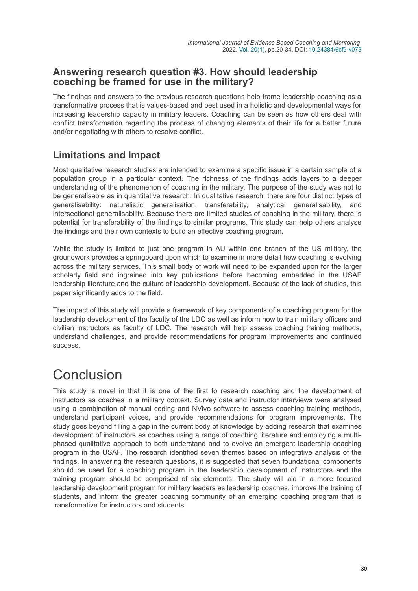#### **Answering research question #3. How should leadership coaching be framed for use in the military?**

The findings and answers to the previous research questions help frame leadership coaching as a transformative process that is values-based and best used in a holistic and developmental ways for increasing leadership capacity in military leaders. Coaching can be seen as how others deal with conflict transformation regarding the process of changing elements of their life for a better future and/or negotiating with others to resolve conflict.

### **Limitations and Impact**

Most qualitative research studies are intended to examine a specific issue in a certain sample of a population group in a particular context. The richness of the findings adds layers to a deeper understanding of the phenomenon of coaching in the military. The purpose of the study was not to be generalisable as in quantitative research. In qualitative research, there are four distinct types of generalisability: naturalistic generalisation, transferability, analytical generalisability, and intersectional generalisability. Because there are limited studies of coaching in the military, there is potential for transferability of the findings to similar programs. This study can help others analyse the findings and their own contexts to build an effective coaching program.

While the study is limited to just one program in AU within one branch of the US military, the groundwork provides a springboard upon which to examine in more detail how coaching is evolving across the military services. This small body of work will need to be expanded upon for the larger scholarly field and ingrained into key publications before becoming embedded in the USAF leadership literature and the culture of leadership development. Because of the lack of studies, this paper significantly adds to the field.

The impact of this study will provide a framework of key components of a coaching program for the leadership development of the faculty of the LDC as well as inform how to train military officers and civilian instructors as faculty of LDC. The research will help assess coaching training methods, understand challenges, and provide recommendations for program improvements and continued success.

### Conclusion

This study is novel in that it is one of the first to research coaching and the development of instructors as coaches in a military context. Survey data and instructor interviews were analysed using a combination of manual coding and NVivo software to assess coaching training methods, understand participant voices, and provide recommendations for program improvements. The study goes beyond filling a gap in the current body of knowledge by adding research that examines development of instructors as coaches using a range of coaching literature and employing a multiphased qualitative approach to both understand and to evolve an emergent leadership coaching program in the USAF. The research identified seven themes based on integrative analysis of the findings. In answering the research questions, it is suggested that seven foundational components should be used for a coaching program in the leadership development of instructors and the training program should be comprised of six elements. The study will aid in a more focused leadership development program for military leaders as leadership coaches, improve the training of students, and inform the greater coaching community of an emerging coaching program that is transformative for instructors and students.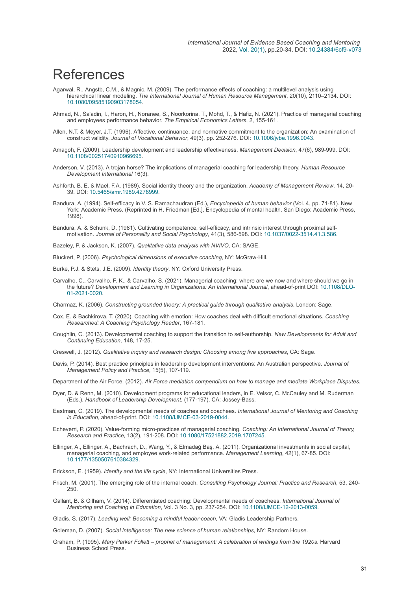### **References**

- Agarwal, R., Angstb, C.M., & Magnic, M. (2009). The performance effects of coaching: a multilevel analysis using hierarchical linear modeling. *The International Journal of Human Resource Management*, 20(10), 2110–2134. DOI: [10.1080/09585190903178054](https://doi.org/10.1080/09585190903178054).
- Ahmad, N., Sa'adin, I., Haron, H., Noranee, S., Noorkorina, T., Mohd, T., & Hafiz, N. (2021). Practice of managerial coaching and employees performance behavior. *The Empirical Economics Letters*, 2, 155-161.
- Allen, N.T. & Meyer, J.T. (1996). Affective, continuance, and normative commitment to the organization: An examination of construct validity. *Journal of Vocational Behavior*, 49(3), pp. 252-276. DOI: [10.1006/jvbe.1996.0043.](https://doi.org/10.1006/jvbe.1996.0043)
- Amagoh, F. (2009). Leadership development and leadership effectiveness. *Management Decision*, 47(6), 989-999. DOI: [10.1108/00251740910966695](https://doi.org/10.1108/00251740910966695).
- Anderson, V. (2013). A trojan horse? The implications of managerial coaching for leadership theory. *Human Resource Development International* 16(3).
- Ashforth, B. E. & Mael, F.A. (1989). Social identity theory and the organization. *Academy of Management Review*, 14, 20- 39. DOI: [10.5465/amr.1989.4278999](https://doi.org/10.5465/amr.1989.4278999).
- Bandura, A. (1994). Self-efficacy in V. S. Ramachaudran (Ed.), *Encyclopedia of human behavior* (Vol. 4, pp. 71-81). New York: Academic Press. (Reprinted in H. Friedman [Ed.], Encyclopedia of mental health. San Diego: Academic Press, 1998).
- Bandura, A. & Schunk, D. (1981). Cultivating competence, self-efficacy, and intrinsic interest through proximal selfmotivation. *Journal of Personality and Social Psychology*, 41(3), 586-598. DOI: [10.1037/0022-3514.41.3.586.](https://doi.org/10.1037/0022-3514.41.3.586)
- Bazeley, P. & Jackson, K. (2007). *Qualitative data analysis with NVIVO*, CA: SAGE.
- Bluckert, P. (2006). *Psychological dimensions of executive coaching*, NY: McGraw-Hill.
- Burke, P.J. & Stets, J.E. (2009). *Identity theory*, NY: Oxford University Press.
- Carvalho, C., Carvalho, F. K., & Carvalho, S. (2021). Managerial coaching: where are we now and where should we go in the future? *[Development and Learning in Organizations: An International Journal](https://doi.org/10.1108/DLO-01-2021-0020)*, ahead-of-print DOI: 10.1108/DLO-01-2021-0020.

Charmaz, K. (2006). *Constructing grounded theory: A practical guide through qualitative analysis*, London: Sage.

- Cox, E. & Bachkirova, T. (2020). Coaching with emotion: How coaches deal with difficult emotional situations. *Coaching Researched: A Coaching Psychology Reader*, 167-181.
- Coughlin, C. (2013). Developmental coaching to support the transition to self-authorship. *New Developments for Adult and Continuing Education*, 148, 17-25.
- Creswell, J. (2012). *Qualitative inquiry and research design: Choosing among five approaches*, CA: Sage.
- Davis, P. (2014). Best practice principles in leadership development interventions: An Australian perspective. *Journal of Management Policy and Practice*, 15(5), 107-119.

Department of the Air Force. (2012). *Air Force mediation compendium on how to manage and mediate Workplace Disputes*.

- Dyer, D. & Renn, M. (2010). Development programs for educational leaders, in E. Velsor, C. McCauley and M. Ruderman (Eds.), *Handbook of Leadership Development*, (177-197), CA: Jossey-Bass.
- Eastman, C. (2019). The developmental needs of coaches and coachees. *International Journal of Mentoring and Coaching in Education*, ahead-of-print. DOI: [10.1108/IJMCE-03-2019-0044.](https://doi.org/10.1108/IJMCE-03-2019-0044)
- Echeverri, P. (2020). Value-forming micro-practices of managerial coaching. *Coaching: An International Journal of Theory, Research and Practice*, 13(2), 191-208. DOI: [10.1080/17521882.2019.1707245](https://doi.org/10.1080/17521882.2019.1707245).
- Ellinger, A., Ellinger, A., Bachrach, D., Wang, Y., & Elmadağ Baş, A. (2011). Organizational investments in social capital, managerial coaching, and employee work-related performance. *Management Learning*, 42(1), 67-85. DOI: [10.1177/1350507610384329](https://doi.org/10.1177/1350507610384329).
- Erickson, E. (1959). *Identity and the life cycle*, NY: International Universities Press.
- Frisch, M. (2001). The emerging role of the internal coach. *Consulting Psychology Journal: Practice and Research*, 53, 240- 250.
- Gallant, B. & Gilham, V. (2014). Differentiated coaching: Developmental needs of coachees. *International Journal of Mentoring and Coaching in Education*, Vol. 3 No. 3, pp. 237-254. DOI: [10.1108/IJMCE-12-2013-0059](https://doi.org/10.1108/IJMCE-12-2013-0059).

Gladis, S. (2017). *Leading well: Becoming a mindful leader-coach*, VA: Gladis Leadership Partners.

Goleman, D. (2007). *Social intelligence: The new science of human relationships*, NY: Random House.

Graham, P. (1995). *Mary Parker Follett – prophet of management: A celebration of writings from the 1920s*. Harvard Business School Press.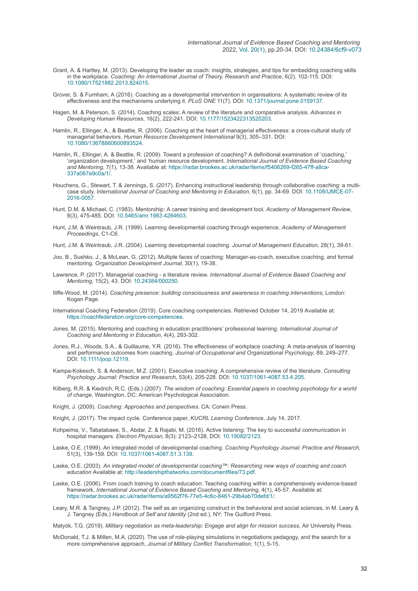- Grant, A. & Hartley, M. (2013). Developing the leader as coach: insights, strategies, and tips for embedding coaching skills in the workplace. *Coaching: An International Journal of Theory, Research and Practice*, 6(2), 102-115. DOI: [10.1080/17521882.2013.824015](https://doi.org/10.1080/17521882.2013.824015).
- Grover, S. & Furnham, A (2016). Coaching as a developmental intervention in organisations: A systematic review of its effectiveness and the mechanisms underlying it. *PLoS ONE* 11(7). DOI: [10.1371/journal.pone.0159137.](https://doi.org/10.1371/journal.pone.0159137)
- Hagen, M. & Peterson, S. (2014). Coaching scales: A review of the literature and comparative analysis. *Advances in Developing Human Resources*, 16(2), 222-241. DOI: [10.1177/1523422313520203.](https://doi.org/10.1177/1523422313520203)
- Hamlin, R., Ellinger, A., & Beattie, R. (2006). Coaching at the heart of managerial effectiveness: a cross-cultural study of managerial behaviors. *Human Resource Development International* 9(3), 305–331. DOI: [10.1080/13678860600893524](https://doi.org/10.1080/13678860600893524).
- Hamlin, R., Ellinger, A. & Beattie, R. (2009). Toward a profession of coaching? A definitional examination of 'coaching,' 'organization development,' and 'human resource development. *International Journal of Evidence Based Coaching and Mentoring*[, 7\(1\), 13-38. Available at: https://radar.brookes.ac.uk/radar/items/f5406269-f265-47ff-a8ca-](https://radar.brookes.ac.uk/radar/items/f5406269-f265-47ff-a8ca-337a067e9c0a/1/)337a067e9c0a/1/.
- Houchens, G., Stewart, T. & Jennings, S. (2017). Enhancing instructional leadership through collaborative coaching: a multi-case study. [International Journal of Coaching and Mentoring in Education](https://doi.org/10.1108/IJMCE-07-2016-0057), 6(1), pp. 34-69. DOI: 10.1108/IJMCE-07-2016-0057.
- Hunt, D.M. & Michael, C. (1983). Mentorship: A career training and development tool. *Academy of Management Review*, 8(3), 475-485. DOI: [10.5465/amr.1983.4284603](https://doi.org/10.5465/amr.1983.4284603).
- Hunt, J.M. & Weintraub, J.R. (1999). Learning developmental coaching through experience. *Academy of Management Proceedings*, C1-C6.
- Hunt, J.M. & Weintraub, J.R. (2004). Learning developmental coaching. *Journal of Management Education*, 28(1), 39-61.
- Joo, B., Sushko, J., & McLean, G. (2012). Multiple faces of coaching: Manager-as-coach, executive coaching, and formal mentoring. *Organization Development Journal*, 30(1), 19-38.
- Lawrence, P. (2017). Managerial coaching a literature review. *International Journal of Evidence Based Coaching and Mentoring*, 15(2), 43. DOI: [10.24384/000250.](https://doi.org/10.24384/000250)
- Iliffe-Wood, M. (2014). *Coaching presence: building consciousness and awareness in coaching interventions*, London: Kogan Page.
- International Coaching Federation (2019). Core coaching competencies. Retrieved October 14, 2019 Available at: <https://coachfederation.org/core-competencies>.
- Jones, M. (2015). Mentoring and coaching in education practitioners' professional learning. *International Journal of Coaching and Mentoring in Education*, 4(4), 293-302.
- Jones, R.J., Woods, S.A., & Guillaume, Y.R. (2016). The effectiveness of workplace coaching: A meta-analysis of learning and performance outcomes from coaching. *Journal of Occupational and Organizational Psychology*, 89, 249–277. DOI: [10.1111/joop.12119](https://doi.org/10.1111/joop.12119).
- Kampa-Kokesch, S. & Anderson, M.Z. (2001). Executive coaching: A comprehensive review of the literature. *Consulting Psychology Journal: Practice and Research*, 53(4), 205-228. DOI: [10.1037/1061-4087.53.4.205](https://doi.org/10.1037/1061-4087.53.4.205).
- Kilberg, R.R. & Kiedrich, R.C. (Eds.) (2007). *The wisdom of coaching: Essential papers in coaching psychology for a world of change*, Washington, DC: American Psychological Association.
- Knight, J. (2009). *Coaching: Approaches and perspectives*. CA: Corwin Press.

Knight, J. (2017). The impact cycle. Conference paper, *KUCRL Learning Conference*, July 14, 2017.

- Kohpeima, V., Tabatabaee, S., Abdar, Z. & Rajabi, M. (2016). Active listening: The key to successful communication in hospital managers. *Electron Physician*, 8(3): 2123–2128. DOI: [10.19082/2123.](https://doi.org/10.19082/2123)
- Laske, O.E. (1999). An integrated model of developmental coaching. *Coaching Psychology Journal: Practice and Research*, 51(3), 139-159. DOI: [10.1037/1061-4087.51.3.139.](https://doi.org/10.1037/1061-4087.51.3.139)
- Laske, O.E. (2003). *An integrated model of developmental coaching™: Researching new ways of coaching and coach education* Available at:<http://leadershipthatworks.com/documentfiles/73.pdf>.
- Laske, O.E. (2006). From coach training to coach education: Teaching coaching within a comprehensively evidence-based framework. *International Journal of Evidence Based Coaching and Mentoring*, 4(1), 45-57. Available at: [https://radar.brookes.ac.uk/radar/items/a9562f76-77e5-4c6c-8461-29b4ab70defd/1/.](https://radar.brookes.ac.uk/radar/items/a9562f76-77e5-4c6c-8461-29b4ab70defd/1/)
- Leary, M.R. & Tangney, J.P. (2012). The self as an organizing construct in the behavioral and social sciences, in M. Leary & J. Tangney (Eds.) *Handbook of Self and Identity* (2nd ed.), NY: The Guilford Press.

Matyók, T.G. (2019). *Military negotiation as meta-leadership: Engage and align for mission success*, Air University Press.

McDonald, T.J. & Millen, M.A. (2020). The use of role-playing simulations in negotiations pedagogy, and the search for a more comprehensive approach, *Journal of Military Conflict Transformation*, 1(1), 5-15.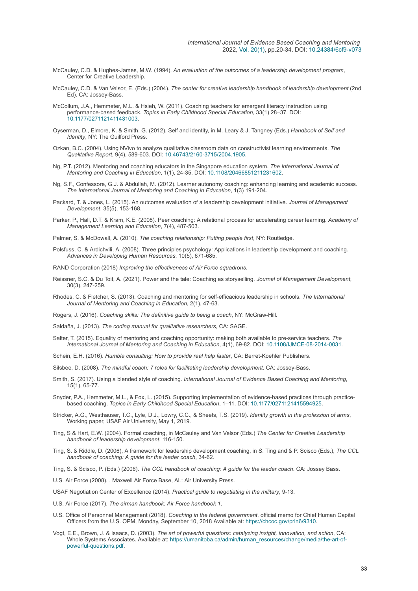- McCauley, C.D. & Hughes-James, M.W. (1994). *An evaluation of the outcomes of a leadership development program*, Center for Creative Leadership.
- McCauley, C.D. & Van Velsor, E. (Eds.) (2004). *The center for creative leadership handbook of leadership development* (2nd Ed). CA: Jossey-Bass.
- McCollum, J.A., Hemmeter, M.L. & Hsieh, W. (2011). Coaching teachers for emergent literacy instruction using performance-based feedback. *Topics in Early Childhood Special Education*, 33(1) 28–37. DOI: [10.1177/0271121411431003](https://doi.org/10.1177/0271121411431003).
- Oyserman, D., Elmore, K. & Smith, G. (2012). Self and identity, in M. Leary & J. Tangney (Eds.) *Handbook of Self and Identity*, NY: The Guilford Press.
- Ozkan, B.C. (2004). Using NVivo to analyze qualitative classroom data on constructivist learning environments. *The Qualitative Report*, 9(4), 589-603. DOI: [10.46743/2160-3715/2004.1905.](https://doi.org/10.46743/2160-3715/2004.1905)
- Ng, P.T. (2012). Mentoring and coaching educators in the Singapore education system. *The International Journal of Mentoring and Coaching in Education*, 1(1), 24-35. DOI: [10.1108/20466851211231602](https://doi.org/10.1108/20466851211231602).
- Ng, S.F., Confessore, G.J. & Abdullah, M. (2012). Learner autonomy coaching: enhancing learning and academic success. *The International Journal of Mentoring and Coaching in Education*, 1(3) 191-204.
- Packard, T. & Jones, L. (2015). An outcomes evaluation of a leadership development initiative. *Journal of Management Development*, 35(5), 153-168.
- Parker, P., Hall, D.T. & Kram, K.E. (2008). Peer coaching: A relational process for accelerating career learning. *Academy of Management Learning and Education*, 7(4), 487-503.
- Palmer, S. & McDowall, A. (2010). *The coaching relationship: Putting people first*, NY: Routledge.
- Polsfuss, C. & Ardichvili, A. (2008). Three principles psychology: Applications in leadership development and coaching. *Advances in Developing Human Resources*, 10(5), 671-685.
- RAND Corporation (2018) *Improving the effectiveness of Air Force squadrons*.
- Reissner, S.C. & Du Toit, A. (2021). Power and the tale: Coaching as storyselling. *Journal of Management Development*, 30(3), 247-259.
- Rhodes, C. & Fletcher, S. (2013). Coaching and mentoring for self-efficacious leadership in schools. *The International Journal of Mentoring and Coaching in Education*, 2(1), 47-63.
- Rogers, J. (2016). *Coaching skills: The definitive guide to being a coach*, NY: McGraw-Hill.
- Saldaña, J. (2013). *The coding manual for qualitative researchers*, CA: SAGE.
- Salter, T. (2015). Equality of mentoring and coaching opportunity: making both available to pre-service teachers. *The International Journal of Mentoring and Coaching in Education*, 4(1), 69-82. DOI: [10.1108/IJMCE-08-2014-0031](https://doi.org/10.1108/IJMCE-08-2014-0031).
- Schein, E.H. (2016). *Humble consulting: How to provide real help faster*, CA: Berret-Koehler Publishers.
- Silsbee, D. (2008). *The mindful coach: 7 roles for facilitating leadership development*. CA: Jossey-Bass,
- Smith, S. (2017). Using a blended style of coaching. *International Journal of Evidence Based Coaching and Mentoring*, 15(1), 65-77.
- Snyder, P.A., Hemmeter, M.L., & Fox, L. (2015). Supporting implementation of evidence-based practices through practicebased coaching. *Topics in Early Childhood Special Education*, 1–11. DOI: [10.1177/0271121415594925](https://doi.org/10.1177/0271121415594925).
- Stricker, A.G., Westhauser, T.C., Lyle, D.J., Lowry, C.C., & Sheets, T.S. (2019). *Identity growth in the profession of arms*, Working paper, USAF Air University, May 1, 2019.
- Ting, S & Hart, E.W. (2004). Formal coaching, in McCauley and Van Velsor (Eds.) *The Center for Creative Leadership handbook of leadership development*, 116-150.
- Ting, S. & Riddle, D. (2006), A framework for leadership development coaching, in S. Ting and & P. Scisco (Eds.), *The CCL handbook of coaching: A guide for the leader coach*, 34-62.
- Ting, S. & Scisco, P. (Eds.) (2006). *The CCL handbook of coaching: A guide for the leader coach*. CA: Jossey Bass.
- U.S. Air Force (2008). . Maxwell Air Force Base, AL: Air University Press.
- USAF Negotiation Center of Excellence (2014). *Practical guide to negotiating in the military*, 9-13.
- U.S. Air Force (2017). *The airman handbook: Air Force handbook 1*.
- U.S. Office of Personnel Management (2018). *Coaching in the federal government*, official memo for Chief Human Capital Officers from the U.S. OPM, Monday, September 10, 2018 Available at: [https://chcoc.gov/prin6/9310.](https://chcoc.gov/prin6/9310)
- Vogt, E.E., Brown, J. & Isaacs, D. (2003). *The art of powerful questions: catalyzing insight, innovation, and action*, CA: [Whole Systems Associates. Available at: https://umanitoba.ca/admin/human\\_resources/change/media/the-art-of](https://umanitoba.ca/admin/human_resources/change/media/the-art-of-powerful-questions.pdf)powerful-questions.pdf.